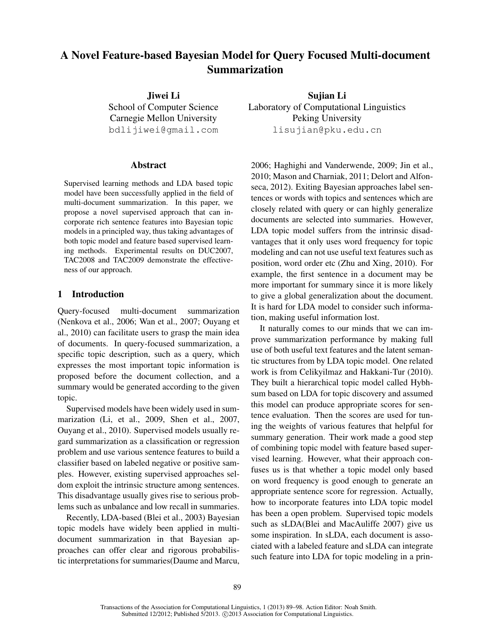# A Novel Feature-based Bayesian Model for Query Focused Multi-document Summarization

Jiwei Li School of Computer Science Carnegie Mellon University bdlijiwei@gmail.com

## Abstract

Supervised learning methods and LDA based topic model have been successfully applied in the field of multi-document summarization. In this paper, we propose a novel supervised approach that can incorporate rich sentence features into Bayesian topic models in a principled way, thus taking advantages of both topic model and feature based supervised learning methods. Experimental results on DUC2007, TAC2008 and TAC2009 demonstrate the effectiveness of our approach.

# 1 Introduction

Query-focused multi-document summarization (Nenkova et al., 2006; Wan et al., 2007; Ouyang et al., 2010) can facilitate users to grasp the main idea of documents. In query-focused summarization, a specific topic description, such as a query, which expresses the most important topic information is proposed before the document collection, and a summary would be generated according to the given topic.

Supervised models have been widely used in summarization (Li, et al., 2009, Shen et al., 2007, Ouyang et al., 2010). Supervised models usually regard summarization as a classification or regression problem and use various sentence features to build a classifier based on labeled negative or positive samples. However, existing supervised approaches seldom exploit the intrinsic structure among sentences. This disadvantage usually gives rise to serious problems such as unbalance and low recall in summaries.

Recently, LDA-based (Blei et al., 2003) Bayesian topic models have widely been applied in multidocument summarization in that Bayesian approaches can offer clear and rigorous probabilistic interpretations for summaries(Daume and Marcu,

Sujian Li Laboratory of Computational Linguistics Peking University lisujian@pku.edu.cn

2006; Haghighi and Vanderwende, 2009; Jin et al., 2010; Mason and Charniak, 2011; Delort and Alfonseca, 2012). Exiting Bayesian approaches label sentences or words with topics and sentences which are closely related with query or can highly generalize documents are selected into summaries. However, LDA topic model suffers from the intrinsic disadvantages that it only uses word frequency for topic modeling and can not use useful text features such as position, word order etc (Zhu and Xing, 2010). For example, the first sentence in a document may be more important for summary since it is more likely to give a global generalization about the document. It is hard for LDA model to consider such information, making useful information lost.

It naturally comes to our minds that we can improve summarization performance by making full use of both useful text features and the latent semantic structures from by LDA topic model. One related work is from Celikyilmaz and Hakkani-Tur (2010). They built a hierarchical topic model called Hybhsum based on LDA for topic discovery and assumed this model can produce appropriate scores for sentence evaluation. Then the scores are used for tuning the weights of various features that helpful for summary generation. Their work made a good step of combining topic model with feature based supervised learning. However, what their approach confuses us is that whether a topic model only based on word frequency is good enough to generate an appropriate sentence score for regression. Actually, how to incorporate features into LDA topic model has been a open problem. Supervised topic models such as sLDA(Blei and MacAuliffe 2007) give us some inspiration. In sLDA, each document is associated with a labeled feature and sLDA can integrate such feature into LDA for topic modeling in a prin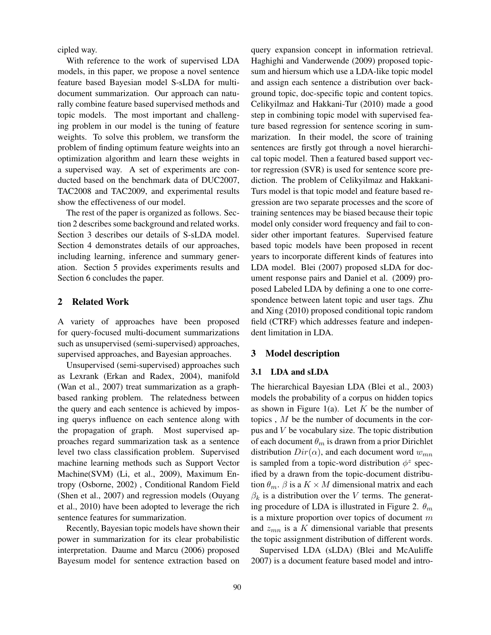cipled way.

With reference to the work of supervised LDA models, in this paper, we propose a novel sentence feature based Bayesian model S-sLDA for multidocument summarization. Our approach can naturally combine feature based supervised methods and topic models. The most important and challenging problem in our model is the tuning of feature weights. To solve this problem, we transform the problem of finding optimum feature weights into an optimization algorithm and learn these weights in a supervised way. A set of experiments are conducted based on the benchmark data of DUC2007, TAC2008 and TAC2009, and experimental results show the effectiveness of our model.

The rest of the paper is organized as follows. Section 2 describes some background and related works. Section 3 describes our details of S-sLDA model. Section 4 demonstrates details of our approaches, including learning, inference and summary generation. Section 5 provides experiments results and Section 6 concludes the paper.

# 2 Related Work

A variety of approaches have been proposed for query-focused multi-document summarizations such as unsupervised (semi-supervised) approaches, supervised approaches, and Bayesian approaches.

Unsupervised (semi-supervised) approaches such as Lexrank (Erkan and Radex, 2004), manifold (Wan et al., 2007) treat summarization as a graphbased ranking problem. The relatedness between the query and each sentence is achieved by imposing querys influence on each sentence along with the propagation of graph. Most supervised approaches regard summarization task as a sentence level two class classification problem. Supervised machine learning methods such as Support Vector Machine(SVM) (Li, et al., 2009), Maximum Entropy (Osborne, 2002) , Conditional Random Field (Shen et al., 2007) and regression models (Ouyang et al., 2010) have been adopted to leverage the rich sentence features for summarization.

Recently, Bayesian topic models have shown their power in summarization for its clear probabilistic interpretation. Daume and Marcu (2006) proposed Bayesum model for sentence extraction based on

query expansion concept in information retrieval. Haghighi and Vanderwende (2009) proposed topicsum and hiersum which use a LDA-like topic model and assign each sentence a distribution over background topic, doc-specific topic and content topics. Celikyilmaz and Hakkani-Tur (2010) made a good step in combining topic model with supervised feature based regression for sentence scoring in summarization. In their model, the score of training sentences are firstly got through a novel hierarchical topic model. Then a featured based support vector regression (SVR) is used for sentence score prediction. The problem of Celikyilmaz and Hakkani-Turs model is that topic model and feature based regression are two separate processes and the score of training sentences may be biased because their topic model only consider word frequency and fail to consider other important features. Supervised feature based topic models have been proposed in recent years to incorporate different kinds of features into LDA model. Blei (2007) proposed sLDA for document response pairs and Daniel et al. (2009) proposed Labeled LDA by defining a one to one correspondence between latent topic and user tags. Zhu and Xing (2010) proposed conditional topic random field (CTRF) which addresses feature and independent limitation in LDA.

## 3 Model description

## 3.1 LDA and sLDA

The hierarchical Bayesian LDA (Blei et al., 2003) models the probability of a corpus on hidden topics as shown in Figure 1(a). Let  $K$  be the number of topics , M be the number of documents in the corpus and V be vocabulary size. The topic distribution of each document  $\theta_m$  is drawn from a prior Dirichlet distribution  $Dir(\alpha)$ , and each document word  $w_{mn}$ is sampled from a topic-word distribution  $\phi^z$  specified by a drawn from the topic-document distribution  $\theta_m$ .  $\beta$  is a  $K \times M$  dimensional matrix and each  $\beta_k$  is a distribution over the V terms. The generating procedure of LDA is illustrated in Figure 2.  $\theta_m$ is a mixture proportion over topics of document  $m$ and  $z_{mn}$  is a K dimensional variable that presents the topic assignment distribution of different words.

Supervised LDA (sLDA) (Blei and McAuliffe 2007) is a document feature based model and intro-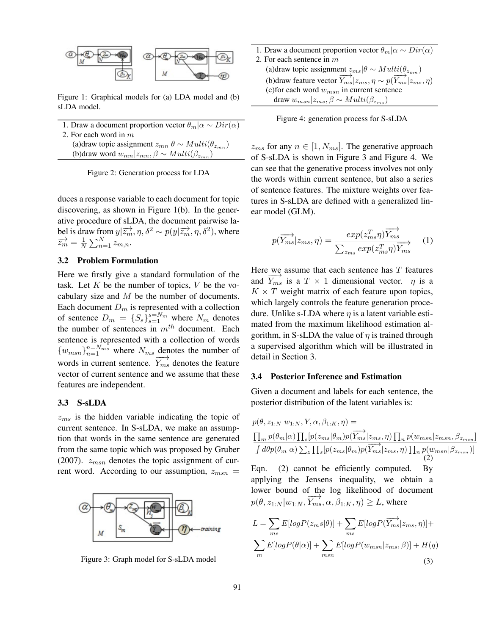

Figure 1: Graphical models for (a) LDA model and (b) sLDA model.

- 1. Draw a document proportion vector  $\theta_m | \alpha \sim Dir(\alpha)$ 2. For each word in m
- (a)draw topic assignment  $z_{mn}|\theta \sim Multi(\theta_{z_{mn}})$ (b)draw word  $w_{mn}|z_{mn}, \beta \sim Multi(\beta_{z_{mn}})$

Figure 2: Generation process for LDA

duces a response variable to each document for topic discovering, as shown in Figure 1(b). In the generative procedure of sLDA, the document pairwise label is draw from  $y|\overrightarrow{z_m}, \eta, \delta^2 \sim p(y|\overrightarrow{z_m}, \eta, \delta^2)$ , where  $\overrightarrow{z_m} = \frac{1}{N}$  $\frac{1}{N} \sum_{n=1}^{N} z_{m,n}.$ 

# 3.2 Problem Formulation

Here we firstly give a standard formulation of the task. Let  $K$  be the number of topics,  $V$  be the vocabulary size and M be the number of documents. Each document  $D_m$  is represented with a collection of sentence  $D_m = \{S_s\}_{s=1}^{s=N_m}$  where  $N_m$  denotes the number of sentences in  $m<sup>th</sup>$  document. Each sentence is represented with a collection of words  ${w_{msn}}_{n=1}^{n=N_{ms}}$  where  $N_{ms}$  denotes the number of words in current sentence.  $\overrightarrow{Y_{ms}}$  denotes the feature vector of current sentence and we assume that these features are independent.

# 3.3 S-sLDA

 $z_{ms}$  is the hidden variable indicating the topic of current sentence. In S-sLDA, we make an assumption that words in the same sentence are generated from the same topic which was proposed by Gruber (2007).  $z_{msn}$  denotes the topic assignment of current word. According to our assumption,  $z_{msn}$  =



Figure 3: Graph model for S-sLDA model

| 1. Draw a document proportion vector $\theta_m   \alpha \sim Dir(\alpha)$                                   |
|-------------------------------------------------------------------------------------------------------------|
| 2. For each sentence in $m$                                                                                 |
| (a)draw topic assignment $z_{ms} \theta \sim Multi(\theta_{z_{mn}})$                                        |
| (b) draw feature vector $\overrightarrow{Y_{ms}} z_{ms}, \eta \sim p(\overrightarrow{Y_{ms}} z_{ms}, \eta)$ |
| (c) for each word $w_{msn}$ in current sentence                                                             |
| draw $w_{msn} z_{ms}, \beta \sim Multi(\beta_{z_{ms}})$                                                     |
|                                                                                                             |

Figure 4: generation process for S-sLDA

 $z_{ms}$  for any  $n \in [1, N_{ms}]$ . The generative approach of S-sLDA is shown in Figure 3 and Figure 4. We can see that the generative process involves not only the words within current sentence, but also a series of sentence features. The mixture weights over features in S-sLDA are defined with a generalized linear model (GLM).

$$
p(\overrightarrow{Y_{ms}}|z_{ms},\eta) = \frac{exp(z_{ms}^T \eta)\overrightarrow{Y_{ms}}}{\sum_{z_{ms}} exp(z_{ms}^T \eta)\overrightarrow{Y_{ms}}}
$$
 (1)

Here we assume that each sentence has  $T$  features and  $\overrightarrow{Y_{ms}}$  is a  $T \times 1$  dimensional vector.  $\eta$  is a  $K \times T$  weight matrix of each feature upon topics, which largely controls the feature generation procedure. Unlike s-LDA where  $\eta$  is a latent variable estimated from the maximum likelihood estimation algorithm, in S-sLDA the value of  $\eta$  is trained through a supervised algorithm which will be illustrated in detail in Section 3.

#### 3.4 Posterior Inference and Estimation

Given a document and labels for each sentence, the posterior distribution of the latent variables is:

$$
p(\theta, z_{1:N}|w_{1:N}, Y, \alpha, \beta_{1:K}, \eta) =
$$
\n
$$
\frac{\prod_{m} p(\theta_{m}|\alpha) \prod_{s} [p(z_{ms}|\theta_{m}) p(\overrightarrow{Y_{ms}}|z_{ms}, \eta) \prod_{n} p(w_{msn}|z_{msn}, \beta_{z_{msn}}]}{\int d\theta p(\theta_{m}|\alpha) \sum_{z} \prod_{s} [p(z_{ms}|\theta_{m}) p(\overrightarrow{Y_{ms}}|z_{ms}, \eta) \prod_{n} p(w_{msn}|\beta_{z_{msn}})]}
$$
\nEqn. (2) cannot be efficiently computed. By applying the Jensens inequality, we obtain a lower bound of the log likelihood of document 
$$
p(\theta, z_{1:N}|w_{1:N}, \overrightarrow{Y_{ms}}, \alpha, \beta_{1:K}, \eta) \ge L
$$
, where

$$
L = \sum_{ms} E[logP(z_{ms}|\theta)] + \sum_{ms} E[logP(\overrightarrow{Y_{ms}}|z_{ms}, \eta)] +
$$
  

$$
\sum_{m} E[logP(\theta|\alpha)] + \sum_{msn} E[logP(w_{msn}|z_{ms}, \beta)] + H(q)
$$
  
(3)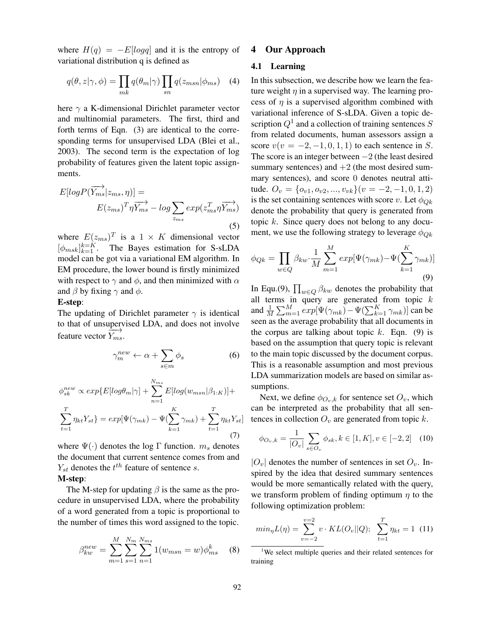where  $H(q) = -E[log q]$  and it is the entropy of variational distribution q is defined as

$$
q(\theta, z | \gamma, \phi) = \prod_{mk} q(\theta_m | \gamma) \prod_{sn} q(z_{msn} | \phi_{ms}) \quad (4)
$$

here  $\gamma$  a K-dimensional Dirichlet parameter vector and multinomial parameters. The first, third and forth terms of Eqn. (3) are identical to the corresponding terms for unsupervised LDA (Blei et al., 2003). The second term is the expectation of log probability of features given the latent topic assignments.

$$
E[logP(\overrightarrow{Y_{ms}}|z_{ms},\eta)] =
$$
  

$$
E(z_{ms})^T \eta \overrightarrow{Y_{ms}} - log \sum_{z_{ms}} exp(z_{ms}^T \eta \overrightarrow{Y_{ms}})
$$
(5)

where  $E(z_{ms})^T$  is a  $1 \times K$  dimensional vector  $\left[\phi_{msk}\right]_{k=1}^{k=K}$ . The Bayes estimation for S-sLDA model can be got via a variational EM algorithm. In EM procedure, the lower bound is firstly minimized with respect to  $\gamma$  and  $\phi$ , and then minimized with  $\alpha$ and  $\beta$  by fixing  $\gamma$  and  $\phi$ .

### E-step:

The updating of Dirichlet parameter  $\gamma$  is identical to that of unsupervised LDA, and does not involve feature vector  $\overrightarrow{Y_{ms}}$ .

$$
\gamma_m^{new} \leftarrow \alpha + \sum_{s \in m} \phi_s \tag{6}
$$

$$
\phi_{sk}^{new} \propto exp\{E[log\theta_m|\gamma] + \sum_{n=1}^{N_{ms}} E[log(w_{msn}|\beta_{1:K})] +
$$
  

$$
\sum_{t=1}^{T} \eta_{kt} Y_{st}\} = exp[\Psi(\gamma_{mk}) - \Psi(\sum_{k=1}^{K} \gamma_{mk}) + \sum_{t=1}^{T} \eta_{kt} Y_{st}]
$$
(7)

where  $\Psi(\cdot)$  denotes the log Γ function.  $m_s$  denotes the document that current sentence comes from and  $Y_{st}$  denotes the  $t^{th}$  feature of sentence s. M-step:

The M-step for updating  $\beta$  is the same as the procedure in unsupervised LDA, where the probability of a word generated from a topic is proportional to the number of times this word assigned to the topic.

$$
\beta_{kw}^{new} = \sum_{m=1}^{M} \sum_{s=1}^{N_m} \sum_{n=1}^{N_{ms}} 1(w_{msn} = w) \phi_{ms}^k \quad (8)
$$

#### 4 Our Approach

# 4.1 Learning

In this subsection, we describe how we learn the feature weight  $\eta$  in a supervised way. The learning process of  $\eta$  is a supervised algorithm combined with variational inference of S-sLDA. Given a topic description  $Q^1$  and a collection of training sentences  $S$ from related documents, human assessors assign a score  $v(v = -2, -1, 0, 1, 1)$  to each sentence in S. The score is an integer between  $-2$  (the least desired summary sentences) and  $+2$  (the most desired summary sentences), and score 0 denotes neutral attitude.  $O_v = \{o_{v1}, o_{v2}, ..., v_{vk}\}(v = -2, -1, 0, 1, 2)$ is the set containing sentences with score v. Let  $\phi_{Ok}$ denote the probability that query is generated from topic k. Since query does not belong to any document, we use the following strategy to leverage  $\phi_{Qk}$ 

$$
\phi_{Qk} = \prod_{w \in Q} \beta_{kw} \cdot \frac{1}{M} \sum_{m=1}^{M} exp[\Psi(\gamma_{mk}) - \Psi(\sum_{k=1}^{K} \gamma_{mk})]
$$
\n(9)

In Equ.(9),  $\prod_{w \in Q} \beta_{kw}$  denotes the probability that all terms in query are generated from topic  $k$ and  $\frac{1}{M} \sum_{m=1}^{M} exp[\Psi(\gamma_{mk}) - \Psi(\sum_{k=1}^{K} \gamma_{mk})]$  can be seen as the average probability that all documents in the corpus are talking about topic  $k$ . Eqn. (9) is based on the assumption that query topic is relevant to the main topic discussed by the document corpus. This is a reasonable assumption and most previous LDA summarization models are based on similar assumptions.

Next, we define  $\phi_{O_v,k}$  for sentence set  $O_v$ , which can be interpreted as the probability that all sentences in collection  $O_v$  are generated from topic k.

$$
\phi_{O_v,k} = \frac{1}{|O_v|} \sum_{s \in O_v} \phi_{sk}, k \in [1, K], v \in [-2, 2]
$$
 (10)

 $|O_v|$  denotes the number of sentences in set  $O_v$ . Inspired by the idea that desired summary sentences would be more semantically related with the query, we transform problem of finding optimum  $\eta$  to the following optimization problem:

$$
min_{\eta} L(\eta) = \sum_{v=-2}^{v=2} v \cdot KL(O_v || Q); \sum_{t=1}^{T} \eta_{kt} = 1 \tag{11}
$$

<sup>1</sup>We select multiple queries and their related sentences for training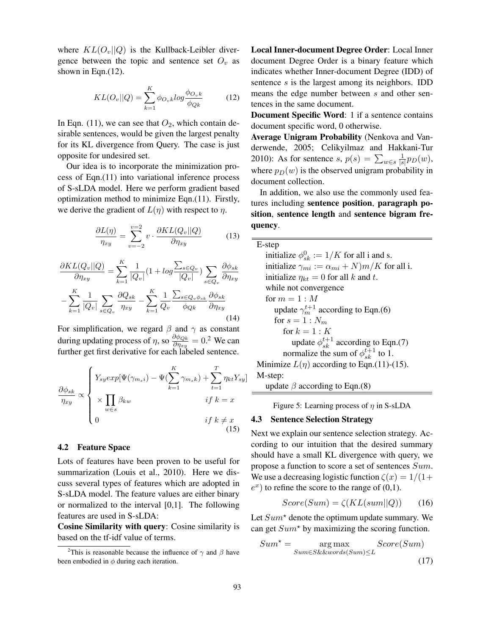where  $KL(O_v||Q)$  is the Kullback-Leibler divergence between the topic and sentence set  $O_v$  as shown in Eqn.(12).

$$
KL(O_v||Q) = \sum_{k=1}^{K} \phi_{O_vk} log \frac{\phi_{O_vk}}{\phi_{Qk}}
$$
(12)

In Eqn. (11), we can see that  $O_2$ , which contain desirable sentences, would be given the largest penalty for its KL divergence from Query. The case is just opposite for undesired set.

Our idea is to incorporate the minimization process of Eqn.(11) into variational inference process of S-sLDA model. Here we perform gradient based optimization method to minimize Eqn.(11). Firstly, we derive the gradient of  $L(\eta)$  with respect to  $\eta$ .

$$
\frac{\partial L(\eta)}{\eta_{xy}} = \sum_{v=-2}^{v=2} v \cdot \frac{\partial KL(Q_v||Q)}{\partial \eta_{xy}} \tag{13}
$$

$$
\frac{\partial KL(Q_v||Q)}{\partial \eta_{xy}} = \sum_{k=1}^{K} \frac{1}{|Q_v|} (1 + log \frac{\sum_{s \in Q_v}{Q_v}}{\left|Q_v\right|}) \sum_{s \in Q_v} \frac{\partial \phi_{sk}}{\partial \eta_{xy}} - \sum_{k=1}^{K} \frac{1}{|Q_v|} \sum_{s \in Q_v} \frac{\partial Q_{sk}}{\eta_{xy}} - \sum_{k=1}^{K} \frac{1}{Q_v} \frac{\sum_{s \in Q_v \phi_{sk}} \partial \phi_{sk}}{\phi_{Qk}} \frac{\partial \phi_{sk}}{\partial \eta_{xy}}
$$
\n(14)

For simplification, we regard  $\beta$  and  $\gamma$  as constant during updating process of  $\eta$ , so  $\frac{\partial \phi_{Qk}}{\partial n_{av}}$  $\frac{\partial \phi_{Qk}}{\partial \eta_{xy}} = 0.^2$  We can further get first derivative for each labeled sentence.

$$
\frac{\partial \phi_{sk}}{\eta_{xy}} \propto \begin{cases} Y_{sy} \exp[\Psi(\gamma_{m_s i}) - \Psi(\sum_{k=1}^K \gamma_{m_s k}) + \sum_{t=1}^T \eta_{kt} Y_{sy}] \\ \times \prod_{w \in s} \beta_{kw} & \text{if } k = x \\ 0 & \text{if } k \neq x \end{cases}
$$
(15)

## 4.2 Feature Space

Lots of features have been proven to be useful for summarization (Louis et al., 2010). Here we discuss several types of features which are adopted in S-sLDA model. The feature values are either binary or normalized to the interval [0,1]. The following features are used in S-sLDA:

Cosine Similarity with query: Cosine similarity is based on the tf-idf value of terms.

Local Inner-document Degree Order: Local Inner document Degree Order is a binary feature which indicates whether Inner-document Degree (IDD) of sentence s is the largest among its neighbors. IDD means the edge number between s and other sentences in the same document.

Document Specific Word: 1 if a sentence contains document specific word, 0 otherwise.

Average Unigram Probability (Nenkova and Vanderwende, 2005; Celikyilmaz and Hakkani-Tur 2010): As for sentence  $s, p(s) = \sum_{w \in s} \frac{1}{|s|}$  $\frac{1}{|s|}p_D(w),$ where  $p_D(w)$  is the observed unigram probability in document collection.

In addition, we also use the commonly used features including sentence position, paragraph position, sentence length and sentence bigram frequency.

| E-step                                                      |
|-------------------------------------------------------------|
| initialize $\phi_{sk}^0 := 1/K$ for all i and s.            |
| initialize $\gamma_{mi} := \alpha_{mi} + N(m/K)$ for all i. |
| initialize $\eta_{kt} = 0$ for all k and t.                 |
| while not convergence                                       |
| for $m = 1 : M$                                             |
| update $\gamma_m^{t+1}$ according to Eqn.(6)                |
| for $s=1:N_m$                                               |
| for $k = 1 \cdot K$                                         |
| update $\phi_{sk}^{t+1}$ according to Eqn.(7)               |
| normalize the sum of $\phi_{sk}^{t+1}$ to 1.                |
| Minimize $L(\eta)$ according to Eqn.(11)-(15).              |
| M-step:                                                     |

update  $\beta$  according to Eqn.(8)

Figure 5: Learning process of  $\eta$  in S-sLDA

## 4.3 Sentence Selection Strategy

Next we explain our sentence selection strategy. According to our intuition that the desired summary should have a small KL divergence with query, we propose a function to score a set of sentences Sum. We use a decreasing logistic function  $\zeta(x) = 1/(1+\zeta)$  $e^x$ ) to refine the score to the range of (0,1).

$$
Score(Sum) = \zeta(KL(sum||Q)) \qquad (16)
$$

Let  $Sum^*$  denote the optimum update summary. We can get  $Sum<sup>*</sup>$  by maximizing the scoring function.

$$
Sum^* = \mathop{\arg\max}_{Sum \in S\&\&words(Sum) \le L} Score(Sum)
$$
\n(17)

<sup>&</sup>lt;sup>2</sup>This is reasonable because the influence of  $\gamma$  and  $\beta$  have been embodied in  $\phi$  during each iteration.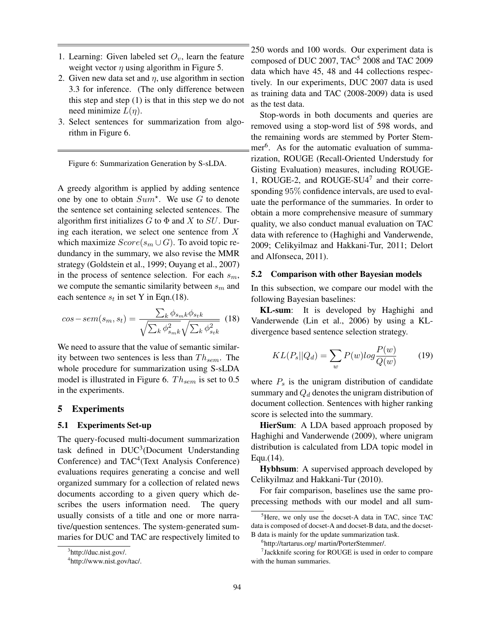- 1. Learning: Given labeled set  $O_v$ , learn the feature weight vector  $\eta$  using algorithm in Figure 5.
- 2. Given new data set and  $\eta$ , use algorithm in section 3.3 for inference. (The only difference between this step and step (1) is that in this step we do not need minimize  $L(n)$ .
- 3. Select sentences for summarization from algorithm in Figure 6.

Figure 6: Summarization Generation by S-sLDA.

A greedy algorithm is applied by adding sentence one by one to obtain  $Sum^*$ . We use G to denote the sentence set containing selected sentences. The algorithm first initializes  $G$  to  $\Phi$  and  $X$  to  $SU$ . During each iteration, we select one sentence from  $X$ which maximize  $Score(s_m \cup G)$ . To avoid topic redundancy in the summary, we also revise the MMR strategy (Goldstein et al., 1999; Ouyang et al., 2007) in the process of sentence selection. For each  $s_m$ , we compute the semantic similarity between  $s_m$  and each sentence  $s_t$  in set Y in Eqn.(18).

$$
cos-sem(s_m, s_t) = \frac{\sum_k \phi_{s_m k} \phi_{s_t k}}{\sqrt{\sum_k \phi_{s_m k}^2} \sqrt{\sum_k \phi_{s_t k}^2}}
$$
(18)

We need to assure that the value of semantic similarity between two sentences is less than  $Th_{sem}$ . The whole procedure for summarization using S-sLDA model is illustrated in Figure 6.  $Th_{sem}$  is set to 0.5 in the experiments.

## 5 Experiments

#### 5.1 Experiments Set-up

The query-focused multi-document summarization task defined in DUC<sup>3</sup>(Document Understanding Conference) and TAC<sup>4</sup>(Text Analysis Conference) evaluations requires generating a concise and well organized summary for a collection of related news documents according to a given query which describes the users information need. The query usually consists of a title and one or more narrative/question sentences. The system-generated summaries for DUC and TAC are respectively limited to

250 words and 100 words. Our experiment data is composed of DUC 2007,  $TAC<sup>5</sup>$  2008 and TAC 2009 data which have 45, 48 and 44 collections respectively. In our experiments, DUC 2007 data is used as training data and TAC (2008-2009) data is used as the test data.

Stop-words in both documents and queries are removed using a stop-word list of 598 words, and the remaining words are stemmed by Porter Stemmer<sup>6</sup>. As for the automatic evaluation of summarization, ROUGE (Recall-Oriented Understudy for Gisting Evaluation) measures, including ROUGE-1, ROUGE-2, and ROUGE-SU4<sup>7</sup> and their corresponding 95% confidence intervals, are used to evaluate the performance of the summaries. In order to obtain a more comprehensive measure of summary quality, we also conduct manual evaluation on TAC data with reference to (Haghighi and Vanderwende, 2009; Celikyilmaz and Hakkani-Tur, 2011; Delort and Alfonseca, 2011).

#### 5.2 Comparison with other Bayesian models

In this subsection, we compare our model with the following Bayesian baselines:

KL-sum: It is developed by Haghighi and Vanderwende (Lin et al., 2006) by using a KLdivergence based sentence selection strategy.

$$
KL(P_s||Q_d) = \sum_{w} P(w)log\frac{P(w)}{Q(w)}\tag{19}
$$

where  $P_s$  is the unigram distribution of candidate summary and  $Q_d$  denotes the unigram distribution of document collection. Sentences with higher ranking score is selected into the summary.

HierSum: A LDA based approach proposed by Haghighi and Vanderwende (2009), where unigram distribution is calculated from LDA topic model in Equ.(14).

Hybhsum: A supervised approach developed by Celikyilmaz and Hakkani-Tur (2010).

For fair comparison, baselines use the same proprecessing methods with our model and all sum-

<sup>&</sup>lt;sup>3</sup>http://duc.nist.gov/.

<sup>4</sup> http://www.nist.gov/tac/.

 ${}^{5}$ Here, we only use the docset-A data in TAC, since TAC data is composed of docset-A and docset-B data, and the docset-B data is mainly for the update summarization task.

<sup>6</sup> http://tartarus.org/ martin/PorterStemmer/.

<sup>7</sup> Jackknife scoring for ROUGE is used in order to compare with the human summaries.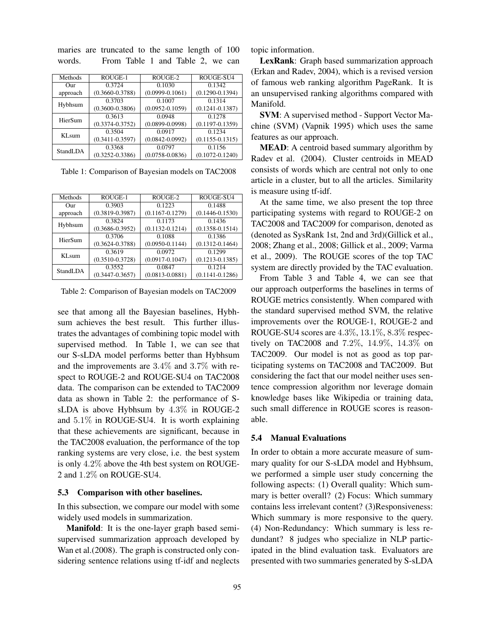| Methods           | ROUGE-1             | ROUGE-2             | ROUGE-SU4           |
|-------------------|---------------------|---------------------|---------------------|
| Our               | 0.3724              | 0.1030              | 0.1342              |
| approach          | $(0.3660 - 0.3788)$ | $(0.0999 - 0.1061)$ | $(0.1290 - 0.1394)$ |
| Hybhsum           | 0.3703              | 0.1007              | 0.1314              |
|                   | $(0.3600 - 0.3806)$ | $(0.0952 - 0.1059)$ | $(0.1241 - 0.1387)$ |
| HierSum           | 0.3613              | 0.0948              | 0.1278              |
|                   | $(0.3374 - 0.3752)$ | $(0.0899 - 0.0998)$ | $(0.1197 - 0.1359)$ |
| KL <sub>sum</sub> | 0.3504              | 0.0917              | 0.1234              |
|                   | $(0.3411 - 0.3597)$ | $(0.0842 - 0.0992)$ | $(0.1155 - 0.1315)$ |
| StandLDA          | 0.3368              | 0.0797              | 0.1156              |
|                   | $(0.3252 - 0.3386)$ | $(0.0758 - 0.0836)$ | $(0.1072 - 0.1240)$ |

maries are truncated to the same length of 100 words. From Table 1 and Table 2, we can

Table 1: Comparison of Bayesian models on TAC2008

| Methods           | ROUGE-1             | ROUGE-2             | ROUGE-SU4           |
|-------------------|---------------------|---------------------|---------------------|
| $_{\rm Our}$      | 0.3903              | 0.1223              | 0.1488              |
| approach          | $(0.3819 - 0.3987)$ | $(0.1167 - 0.1279)$ | $(0.1446 - 0.1530)$ |
|                   | 0.3824              | 0.1173              | 0.1436              |
| Hybhsum           | $(0.3686 - 0.3952)$ | $(0.1132 - 0.1214)$ | $(0.1358 - 0.1514)$ |
| HierSum           | 0.3706              | 0.1088              | 0.1386              |
|                   | $(0.3624 - 0.3788)$ | $(0.0950 - 0.1144)$ | $(0.1312 - 0.1464)$ |
| KL <sub>sum</sub> | 0.3619              | 0.0972              | 0.1299              |
|                   | $(0.3510 - 0.3728)$ | $(0.0917 - 0.1047)$ | $(0.1213 - 0.1385)$ |
| StandLDA          | 0.3552              | 0.0847              | 0.1214              |
|                   | $(0.3447 - 0.3657)$ | $(0.0813 - 0.0881)$ | $(0.1141 - 0.1286)$ |
|                   |                     |                     |                     |

Table 2: Comparison of Bayesian models on TAC2009

see that among all the Bayesian baselines, Hybhsum achieves the best result. This further illustrates the advantages of combining topic model with supervised method. In Table 1, we can see that our S-sLDA model performs better than Hybhsum and the improvements are 3.4% and 3.7% with respect to ROUGE-2 and ROUGE-SU4 on TAC2008 data. The comparison can be extended to TAC2009 data as shown in Table 2: the performance of SsLDA is above Hybhsum by 4.3% in ROUGE-2 and 5.1% in ROUGE-SU4. It is worth explaining that these achievements are significant, because in the TAC2008 evaluation, the performance of the top ranking systems are very close, i.e. the best system is only 4.2% above the 4th best system on ROUGE-2 and 1.2% on ROUGE-SU4.

#### 5.3 Comparison with other baselines.

In this subsection, we compare our model with some widely used models in summarization.

Manifold: It is the one-layer graph based semisupervised summarization approach developed by Wan et al. (2008). The graph is constructed only considering sentence relations using tf-idf and neglects topic information.

LexRank: Graph based summarization approach (Erkan and Radev, 2004), which is a revised version of famous web ranking algorithm PageRank. It is an unsupervised ranking algorithms compared with Manifold.

SVM: A supervised method - Support Vector Machine (SVM) (Vapnik 1995) which uses the same features as our approach.

MEAD: A centroid based summary algorithm by Radev et al. (2004). Cluster centroids in MEAD consists of words which are central not only to one article in a cluster, but to all the articles. Similarity is measure using tf-idf.

At the same time, we also present the top three participating systems with regard to ROUGE-2 on TAC2008 and TAC2009 for comparison, denoted as (denoted as SysRank 1st, 2nd and 3rd)(Gillick et al., 2008; Zhang et al., 2008; Gillick et al., 2009; Varma et al., 2009). The ROUGE scores of the top TAC system are directly provided by the TAC evaluation.

From Table 3 and Table 4, we can see that our approach outperforms the baselines in terms of ROUGE metrics consistently. When compared with the standard supervised method SVM, the relative improvements over the ROUGE-1, ROUGE-2 and ROUGE-SU4 scores are 4.3%, 13.1%, 8.3% respectively on TAC2008 and 7.2%, 14.9%, 14.3% on TAC2009. Our model is not as good as top participating systems on TAC2008 and TAC2009. But considering the fact that our model neither uses sentence compression algorithm nor leverage domain knowledge bases like Wikipedia or training data, such small difference in ROUGE scores is reasonable.

## 5.4 Manual Evaluations

In order to obtain a more accurate measure of summary quality for our S-sLDA model and Hybhsum, we performed a simple user study concerning the following aspects: (1) Overall quality: Which summary is better overall? (2) Focus: Which summary contains less irrelevant content? (3)Responsiveness: Which summary is more responsive to the query. (4) Non-Redundancy: Which summary is less redundant? 8 judges who specialize in NLP participated in the blind evaluation task. Evaluators are presented with two summaries generated by S-sLDA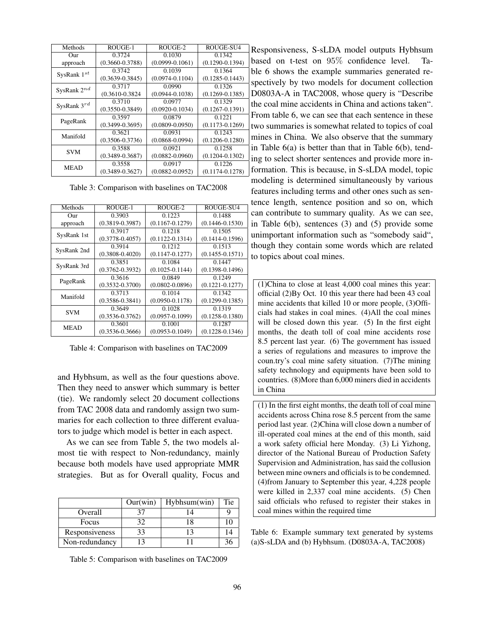| Methods          | ROUGE-1             | ROUGE-2             | ROUGE-SU4           |
|------------------|---------------------|---------------------|---------------------|
| Our              | 0.3724              | 0.1030              | 0.1342              |
| approach         | $(0.3660 - 0.3788)$ | $(0.0999 - 0.1061)$ | $(0.1290 - 0.1394)$ |
|                  | 0.3742              | 0.1039              | 0.1364              |
| SysRank $1^{st}$ | $(0.3639 - 0.3845)$ | $(0.0974 - 0.1104)$ | $(0.1285 - 0.1443)$ |
| SysRank $2^{nd}$ | 0.3717              | 0.0990              | 0.1326              |
|                  | $(0.3610 - 0.3824)$ | $(0.0944 - 0.1038)$ | $(0.1269 - 0.1385)$ |
| SysRank $3^{rd}$ | 0.3710              | 0.0977              | 0.1329              |
|                  | $(0.3550 - 0.3849)$ | $(0.0920 - 0.1034)$ | $(0.1267 - 0.1391)$ |
| PageRank         | 0.3597              | 0.0879              | 0.1221              |
|                  | $(0.3499 - 0.3695)$ | $(0.0809 - 0.0950)$ | $(0.1173 - 0.1269)$ |
| Manifold         | 0.3621              | 0.0931              | 0.1243              |
|                  | $(0.3506 - 0.3736)$ | $(0.0868 - 0.0994)$ | $(0.1206 - 0.1280)$ |
| <b>SVM</b>       | 0.3588              | 0.0921              | 0.1258              |
|                  | $(0.3489 - 0.3687)$ | $(0.0882 - 0.0960)$ | $(0.1204 - 0.1302)$ |
| <b>MEAD</b>      | 0.3558              | 0.0917              | 0.1226              |
|                  | $(0.3489 - 0.3627)$ | $(0.0882 - 0.0952)$ | $(0.1174 - 0.1278)$ |

Table 3: Comparison with baselines on TAC2008

| Methods     | ROUGE-1             | ROUGE-2             | ROUGE-SU4           |
|-------------|---------------------|---------------------|---------------------|
| Our         | 0.3903              | 0.1223              | 0.1488              |
| approach    | $(0.3819 - 0.3987)$ | $(0.1167 - 0.1279)$ | $(0.1446 - 0.1530)$ |
| SysRank 1st | 0.3917              | 0.1218              | 0.1505              |
|             | $(0.3778 - 0.4057)$ | $(0.1122 - 0.1314)$ | $(0.1414 - 0.1596)$ |
| SysRank 2nd | 0.3914              | 0.1212              | 0.1513              |
|             | $(0.3808 - 0.4020)$ | $(0.1147 - 0.1277)$ | $(0.1455 - 0.1571)$ |
|             | 0.3851              | 0.1084              | 0.1447              |
| SysRank 3rd | $(0.3762 - 0.3932)$ | $(0.1025 - 0.1144)$ | $(0.1398 - 0.1496)$ |
| PageRank    | 0.3616              | 0.0849              | 0.1249              |
|             | $(0.3532 - 0.3700)$ | $(0.0802 - 0.0896)$ | $(0.1221 - 0.1277)$ |
| Manifold    | 0.3713              | 0.1014              | 0.1342              |
|             | $(0.3586 - 0.3841)$ | $(0.0950 - 0.1178)$ | $(0.1299 - 0.1385)$ |
| <b>SVM</b>  | 0.3649              | 0.1028              | 0.1319              |
|             | $(0.3536 - 0.3762)$ | $(0.0957 - 0.1099)$ | $(0.1258 - 0.1380)$ |
| <b>MEAD</b> | 0.3601              | 0.1001              | 0.1287              |
|             | $(0.3536 - 0.3666)$ | $(0.0953 - 0.1049)$ | $(0.1228 - 0.1346)$ |
|             |                     |                     |                     |

Table 4: Comparison with baselines on TAC2009

and Hybhsum, as well as the four questions above. Then they need to answer which summary is better (tie). We randomly select 20 document collections from TAC 2008 data and randomly assign two summaries for each collection to three different evaluators to judge which model is better in each aspect.

As we can see from Table 5, the two models almost tie with respect to Non-redundancy, mainly because both models have used appropriate MMR strategies. But as for Overall quality, Focus and

|                | Our (win) | $Hyb$ hsum $(win)$ | <b>Tie</b> |
|----------------|-----------|--------------------|------------|
| Overall        |           |                    |            |
| Focus          | 32        |                    |            |
| Responsiveness | 33        |                    |            |
| Non-redundancy |           |                    |            |

Table 5: Comparison with baselines on TAC2009

Responsiveness, S-sLDA model outputs Hybhsum based on t-test on 95% confidence level. Table 6 shows the example summaries generated respectively by two models for document collection D0803A-A in TAC2008, whose query is "Describe the coal mine accidents in China and actions taken". From table 6, we can see that each sentence in these two summaries is somewhat related to topics of coal mines in China. We also observe that the summary in Table 6(a) is better than that in Table 6(b), tending to select shorter sentences and provide more information. This is because, in S-sLDA model, topic modeling is determined simultaneously by various features including terms and other ones such as sentence length, sentence position and so on, which can contribute to summary quality. As we can see, in Table 6(b), sentences (3) and (5) provide some unimportant information such as "somebody said", though they contain some words which are related to topics about coal mines.

(1)China to close at least 4,000 coal mines this year: official (2)By Oct. 10 this year there had been 43 coal mine accidents that killed 10 or more people, (3)Officials had stakes in coal mines. (4)All the coal mines will be closed down this year. (5) In the first eight months, the death toll of coal mine accidents rose 8.5 percent last year. (6) The government has issued a series of regulations and measures to improve the coun.try's coal mine safety situation. (7)The mining safety technology and equipments have been sold to countries. (8)More than 6,000 miners died in accidents in China

(1) In the first eight months, the death toll of coal mine accidents across China rose 8.5 percent from the same period last year. (2)China will close down a number of ill-operated coal mines at the end of this month, said a work safety official here Monday. (3) Li Yizhong, director of the National Bureau of Production Safety Supervision and Administration, has said the collusion between mine owners and officials is to be condemned. (4)from January to September this year, 4,228 people were killed in 2,337 coal mine accidents. (5) Chen said officials who refused to register their stakes in coal mines within the required time

Table 6: Example summary text generated by systems (a)S-sLDA and (b) Hybhsum. (D0803A-A, TAC2008)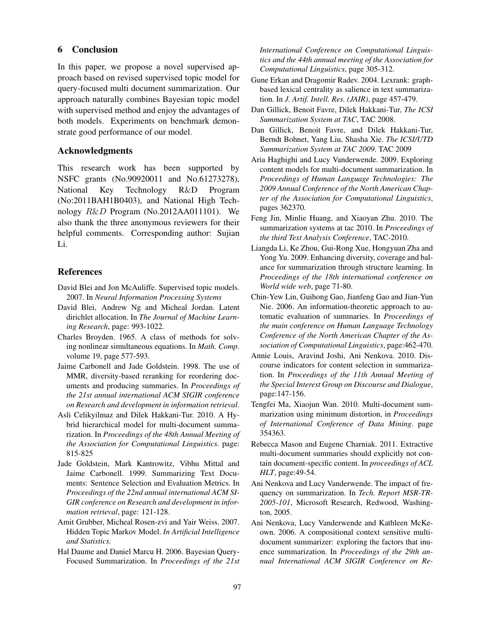# 6 Conclusion

In this paper, we propose a novel supervised approach based on revised supervised topic model for query-focused multi document summarization. Our approach naturally combines Bayesian topic model with supervised method and enjoy the advantages of both models. Experiments on benchmark demonstrate good performance of our model.

## Acknowledgments

This research work has been supported by NSFC grants (No.90920011 and No.61273278), National Key Technology R&D Program (No:2011BAH1B0403), and National High Technology R&D Program (No.2012AA011101). We also thank the three anonymous reviewers for their helpful comments. Corresponding author: Sujian Li.

### References

- David Blei and Jon McAuliffe. Supervised topic models. 2007. In *Neural Information Processing Systems*
- David Blei, Andrew Ng and Micheal Jordan. Latent dirichlet allocation. In *The Journal of Machine Learning Research*, page: 993-1022.
- Charles Broyden. 1965. A class of methods for solving nonlinear simultaneous equations. In *Math. Comp.* volume 19, page 577-593.
- Jaime Carbonell and Jade Goldstein. 1998. The use of MMR, diversity-based reranking for reordering documents and producing summaries. In *Proceedings of the 21st annual international ACM SIGIR conference on Research and development in information retrieval*.
- Asli Celikyilmaz and Dilek Hakkani-Tur. 2010. A Hybrid hierarchical model for multi-document summarization. In *Proceedings of the 48th Annual Meeting of the Association for Computational Linguistics*. page: 815-825
- Jade Goldstein, Mark Kantrowitz, Vibhu Mittal and Jaime Carbonell. 1999. Summarizing Text Documents: Sentence Selection and Evaluation Metrics. In *Proceedings of the 22nd annual international ACM SI-GIR conference on Research and development in information retrieval*, page: 121-128.
- Amit Grubber, Micheal Rosen-zvi and Yair Weiss. 2007. Hidden Topic Markov Model. *In Artificial Intelligence and Statistics.*
- Hal Daume and Daniel Marcu H. 2006. Bayesian Query-Focused Summarization. In *Proceedings of the 21st*

*International Conference on Computational Linguistics and the 44th annual meeting of the Association for Computational Linguistics*, page 305-312.

- Gune Erkan and Dragomir Radev. 2004. Lexrank: graphbased lexical centrality as salience in text summarization. In *J. Artif. Intell. Res. (JAIR)*, page 457-479.
- Dan Gillick, Benoit Favre, Dilek Hakkani-Tur, *The ICSI Summarization System at TAC*, TAC 2008.
- Dan Gillick, Benoit Favre, and Dilek Hakkani-Tur, Berndt Bohnet, Yang Liu, Shasha Xie. *The ICSI/UTD Summarization System at TAC 2009*. TAC 2009
- Aria Haghighi and Lucy Vanderwende. 2009. Exploring content models for multi-document summarization. In *Proceedings of Human Language Technologies: The 2009 Annual Conference of the North American Chapter of the Association for Computational Linguistics*, pages 362370.
- Feng Jin, Minlie Huang, and Xiaoyan Zhu. 2010. The summarization systems at tac 2010. In *Proceedings of the third Text Analysis Conference*, TAC-2010.
- Liangda Li, Ke Zhou, Gui-Rong Xue, Hongyuan Zha and Yong Yu. 2009. Enhancing diversity, coverage and balance for summarization through structure learning. In *Proceedings of the 18th international conference on World wide web*, page 71-80.
- Chin-Yew Lin, Guihong Gao, Jianfeng Gao and Jian-Yun Nie. 2006. An information-theoretic approach to automatic evaluation of summaries. In *Proceedings of the main conference on Human Language Technology Conference of the North American Chapter of the Association of Computational Linguistics*, page:462-470.
- Annie Louis, Aravind Joshi, Ani Nenkova. 2010. Discourse indicators for content selection in summarization. In *Proceedings of the 11th Annual Meeting of the Special Interest Group on Discourse and Dialogue*, page:147-156.
- Tengfei Ma, Xiaojun Wan. 2010. Multi-document summarization using minimum distortion, in *Proceedings of International Conference of Data Mining*. page 354363.
- Rebecca Mason and Eugene Charniak. 2011. Extractive multi-document summaries should explicitly not contain document-specific content. In *proceedings of ACL HLT*, page:49-54.
- Ani Nenkova and Lucy Vanderwende. The impact of frequency on summarization. In *Tech. Report MSR-TR-2005-101*, Microsoft Research, Redwood, Washington, 2005.
- Ani Nenkova, Lucy Vanderwende and Kathleen McKeown. 2006. A compositional context sensitive multidocument summarizer: exploring the factors that inuence summarization. In *Proceedings of the 29th annual International ACM SIGIR Conference on Re-*